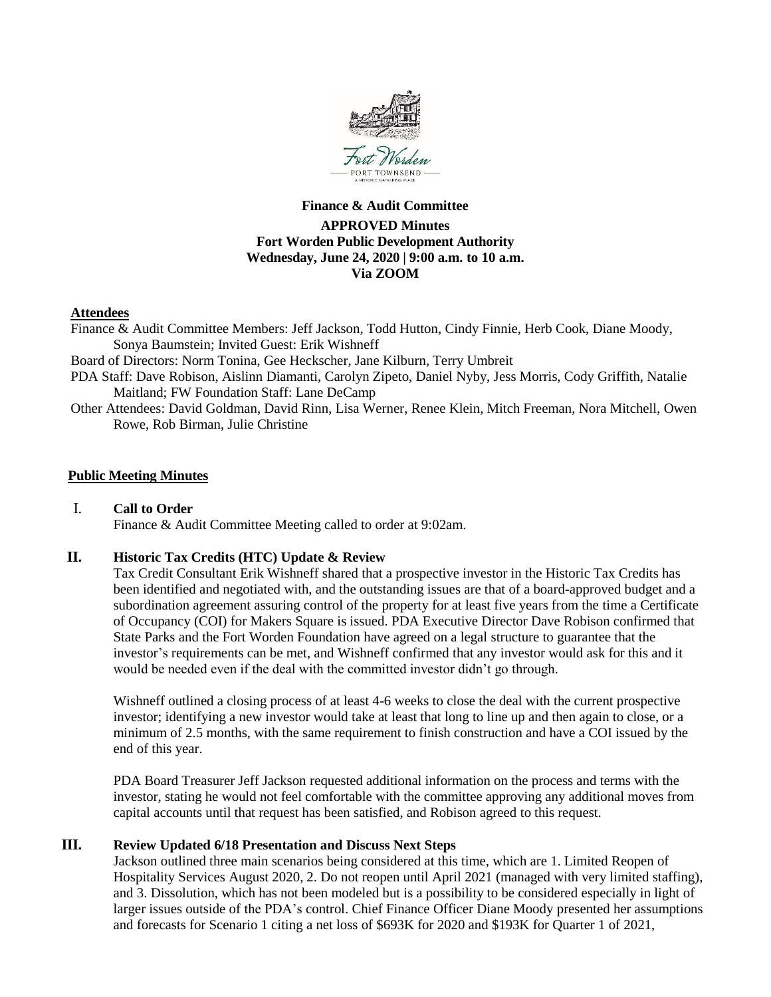

# **Finance & Audit Committee APPROVED Minutes Fort Worden Public Development Authority Wednesday, June 24, 2020 | 9:00 a.m. to 10 a.m. Via ZOOM**

### **Attendees**

Finance & Audit Committee Members: Jeff Jackson, Todd Hutton, Cindy Finnie, Herb Cook, Diane Moody, Sonya Baumstein; Invited Guest: Erik Wishneff

Board of Directors: Norm Tonina, Gee Heckscher, Jane Kilburn, Terry Umbreit

- PDA Staff: Dave Robison, Aislinn Diamanti, Carolyn Zipeto, Daniel Nyby, Jess Morris, Cody Griffith, Natalie Maitland; FW Foundation Staff: Lane DeCamp
- Other Attendees: David Goldman, David Rinn, Lisa Werner, Renee Klein, Mitch Freeman, Nora Mitchell, Owen Rowe, Rob Birman, Julie Christine

#### **Public Meeting Minutes**

# I. **Call to Order**

Finance & Audit Committee Meeting called to order at 9:02am.

#### **II. Historic Tax Credits (HTC) Update & Review**

Tax Credit Consultant Erik Wishneff shared that a prospective investor in the Historic Tax Credits has been identified and negotiated with, and the outstanding issues are that of a board-approved budget and a subordination agreement assuring control of the property for at least five years from the time a Certificate of Occupancy (COI) for Makers Square is issued. PDA Executive Director Dave Robison confirmed that State Parks and the Fort Worden Foundation have agreed on a legal structure to guarantee that the investor's requirements can be met, and Wishneff confirmed that any investor would ask for this and it would be needed even if the deal with the committed investor didn't go through.

Wishneff outlined a closing process of at least 4-6 weeks to close the deal with the current prospective investor; identifying a new investor would take at least that long to line up and then again to close, or a minimum of 2.5 months, with the same requirement to finish construction and have a COI issued by the end of this year.

PDA Board Treasurer Jeff Jackson requested additional information on the process and terms with the investor, stating he would not feel comfortable with the committee approving any additional moves from capital accounts until that request has been satisfied, and Robison agreed to this request.

#### **III. Review Updated 6/18 Presentation and Discuss Next Steps**

Jackson outlined three main scenarios being considered at this time, which are 1. Limited Reopen of Hospitality Services August 2020, 2. Do not reopen until April 2021 (managed with very limited staffing), and 3. Dissolution, which has not been modeled but is a possibility to be considered especially in light of larger issues outside of the PDA's control. Chief Finance Officer Diane Moody presented her assumptions and forecasts for Scenario 1 citing a net loss of \$693K for 2020 and \$193K for Quarter 1 of 2021,